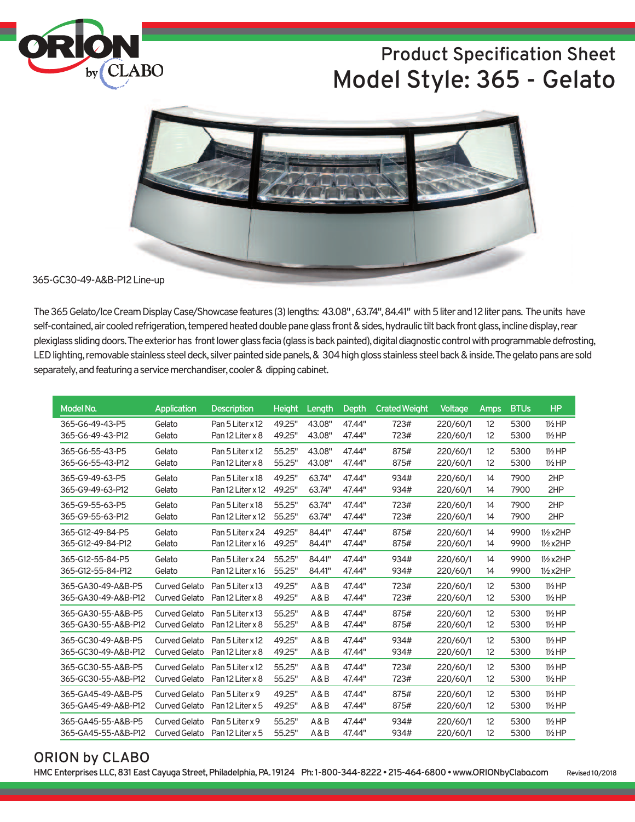

# **Product Specification Sheet Model Style: 365 - Gelato**



#### 365-GC30-49-A&B-P12Line-up

The 365 Gelato/Ice Cream Display Case/Showcase features (3) lengths: 43.08", 63.74", 84.41" with 5 liter and 12 liter pans. The units have self-contained, air cooled refrigeration, tempered heated double pane glass front & sides, hydraulic tilt back front glass, incline display, rear plexiglass sliding doors. The exterior has front lower glass facia (glass is back painted), digital diagnostic control with programmable defrosting, LED lighting, removable stainless steel deck, silver painted side panels, & 304 high gloss stainless steel back & inside. The gelato pans are sold separately, and featuring a service merchandiser, cooler & dipping cabinet.

| Model No.           | Application          | <b>Description</b> | <b>Height</b> | Length | Depth  | <b>Crated Weight</b> | Voltage  | <b>Amps</b> | <b>BTUs</b> | <b>HP</b>           |
|---------------------|----------------------|--------------------|---------------|--------|--------|----------------------|----------|-------------|-------------|---------------------|
| 365-G6-49-43-P5     | Gelato               | Pan 5 Liter x 12   | 49.25"        | 43.08" | 47.44" | 723#                 | 220/60/1 | 12          | 5300        | $1\frac{1}{2}HP$    |
| 365-G6-49-43-P12    | Gelato               | Pan 12 Liter x 8   | 49.25"        | 43.08" | 47.44" | 723#                 | 220/60/1 | 12          | 5300        | 1½ HP               |
| 365-G6-55-43-P5     | Gelato               | Pan 5 Liter x 12   | 55.25"        | 43.08" | 47.44" | 875#                 | 220/60/1 | 12          | 5300        | $1\frac{1}{2}$ HP   |
| 365-G6-55-43-P12    | Gelato               | Pan 12 Liter x 8   | 55.25"        | 43.08" | 47.44" | 875#                 | 220/60/1 | 12          | 5300        | $1\frac{1}{2}HP$    |
| 365-G9-49-63-P5     | Gelato               | Pan 5 Liter x 18   | 49.25"        | 63.74" | 47.44" | 934#                 | 220/60/1 | 14          | 7900        | 2HP                 |
| 365-G9-49-63-P12    | Gelato               | Pan 12 Liter x 12  | 49.25"        | 63.74" | 47.44" | 934#                 | 220/60/1 | 14          | 7900        | 2HP                 |
| 365-G9-55-63-P5     | Gelato               | Pan 5 Liter x 18   | 55.25"        | 63.74" | 47.44" | 723#                 | 220/60/1 | 14          | 7900        | 2HP                 |
| 365-G9-55-63-P12    | Gelato               | Pan 12 Liter x 12  | 55.25"        | 63.74" | 47.44" | 723#                 | 220/60/1 | 14          | 7900        | 2HP                 |
| 365-G12-49-84-P5    | Gelato               | Pan 5 Liter x 24   | 49.25"        | 84.41" | 47.44" | 875#                 | 220/60/1 | 14          | 9900        | $1\frac{1}{2}$ x2HP |
| 365-G12-49-84-P12   | Gelato               | Pan 12 Liter x 16  | 49.25"        | 84.41" | 47.44" | 875#                 | 220/60/1 | 14          | 9900        | 1/2 x 2HP           |
| 365-G12-55-84-P5    | Gelato               | Pan 5 Liter x 24   | 55.25"        | 84.41" | 47.44" | 934#                 | 220/60/1 | 14          | 9900        | $1\frac{1}{2}$ x2HP |
| 365-G12-55-84-P12   | Gelato               | Pan 12 Liter x 16  | 55.25"        | 84.41" | 47.44" | 934#                 | 220/60/1 | 14          | 9900        | 1/2 x 2HP           |
| 365-GA30-49-A&B-P5  | <b>Curved Gelato</b> | Pan 5 Liter x 13   | 49.25"        | A&B    | 47.44" | 723#                 | 220/60/1 | 12          | 5300        | $1\frac{1}{2}$ HP   |
| 365-GA30-49-A&B-P12 | <b>Curved Gelato</b> | Pan 12 Liter x 8   | 49.25"        | A&B    | 47.44" | 723#                 | 220/60/1 | 12          | 5300        | $1\frac{1}{2}$ HP   |
| 365-GA30-55-A&B-P5  | <b>Curved Gelato</b> | Pan 5 Liter x 13   | 55.25"        | A&B    | 47.44" | 875#                 | 220/60/1 | 12          | 5300        | $1\frac{1}{2}$ HP   |
| 365-GA30-55-A&B-P12 | <b>Curved Gelato</b> | Pan 12 Liter x 8   | 55.25"        | A&B    | 47.44" | 875#                 | 220/60/1 | 12          | 5300        | $1\frac{1}{2}$ HP   |
| 365-GC30-49-A&B-P5  | <b>Curved Gelato</b> | Pan 5 Liter x 12   | 49.25"        | A&B    | 47.44" | 934#                 | 220/60/1 | 12          | 5300        | $1\frac{1}{2}$ HP   |
| 365-GC30-49-A&B-P12 | <b>Curved Gelato</b> | Pan 12 Liter x 8   | 49.25"        | A&B    | 47.44" | 934#                 | 220/60/1 | 12          | 5300        | $1\frac{1}{2}$ HP   |
| 365-GC30-55-A&B-P5  | <b>Curved Gelato</b> | Pan 5 Liter x 12   | 55.25"        | A&B    | 47.44" | 723#                 | 220/60/1 | 12          | 5300        | $1\frac{1}{2}$ HP   |
| 365-GC30-55-A&B-P12 | Curved Gelato        | Pan 12 Liter x 8   | 55.25"        | A&B    | 47.44" | 723#                 | 220/60/1 | 12          | 5300        | 1½ HP               |
| 365-GA45-49-A&B-P5  | <b>Curved Gelato</b> | Pan 5 Liter x 9    | 49.25"        | A&B    | 47.44" | 875#                 | 220/60/1 | 12          | 5300        | $1\frac{1}{2}$ HP   |
| 365-GA45-49-A&B-P12 | <b>Curved Gelato</b> | Pan 12 Liter x 5   | 49.25"        | A & B  | 47.44" | 875#                 | 220/60/1 | 12          | 5300        | $1\frac{1}{2}HP$    |
| 365-GA45-55-A&B-P5  | <b>Curved Gelato</b> | Pan 5 Liter x 9    | 55.25"        | A&B    | 47.44" | 934#                 | 220/60/1 | 12          | 5300        | $1\frac{1}{2}$ HP   |
| 365-GA45-55-A&B-P12 | Curved Gelato        | Pan 12 Liter x 5   | 55.25"        | A&B    | 47.44" | 934#                 | 220/60/1 | 12          | 5300        | 1½ HP               |

#### **ORION by CLABO**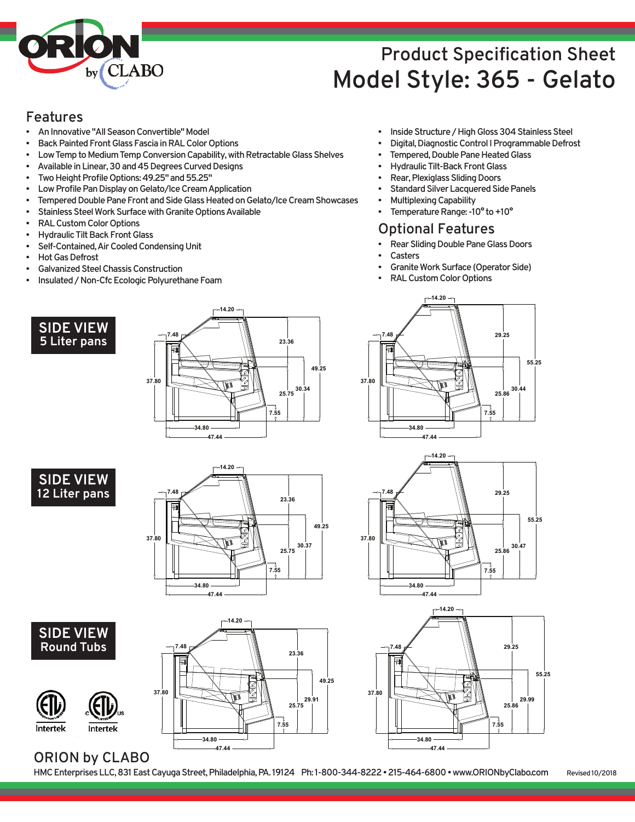

# **Product Specification Sheet Model Style: 365 - Gelato**

#### **Features**

- **AnInnovative"AllSeasonConvertible"Model**
- **Back Painted Front Glass Fascia in RAL Color Options**
- Low Temp to Medium Temp Conversion Capability, with Retractable Glass Shelves
- Available in Linear, 30 and 45 Degrees Curved Designs
- Two Height Profile Options: 49.25" and 55.25"
- **Low Profile Pan Display on Gelato/Ice Cream Application**
- Tempered Double Pane Front and Side Glass Heated on Gelato/Ice Cream Showcases
- **Stainless Steel Work Surface with Granite Options Available**
- **RALCustomColorOptions**
- **Hydraulic Tilt Back Front Glass**
- **Self-Contained,AirCooledCondensingUnit**
- **Hot Gas Defrost**
- **GalvanizedSteelChassisConstruction**
- **Insulated/Non-CfcEcologicPolyurethaneFoam**
	- **SIDE VIEW 5 Liter pans**





**SIDE VIEW Round Tubs**

**Intertek** 





- **Inside Structure / High Gloss 304 Stainless Steel**
- **Digital, Diagnostic Control I Programmable Defrost**
- **Tempered, Double Pane Heated Glass**
- **Hydraulic Tilt-Back Front Glass**
- **Rear, Plexiglass Sliding Doors**
- **Standard Silver Lacquered Side Panels**
- **MultiplexingCapability Femperature Range: -10° to +10°**
- 

#### **Optional Features**

- **Rear Sliding Double Pane Glass Doors**
- **Casters**
- **Granite Work Surface (Operator Side)**
- **RALCustomColorOptions**







### **ORION by CLABO**

Intertek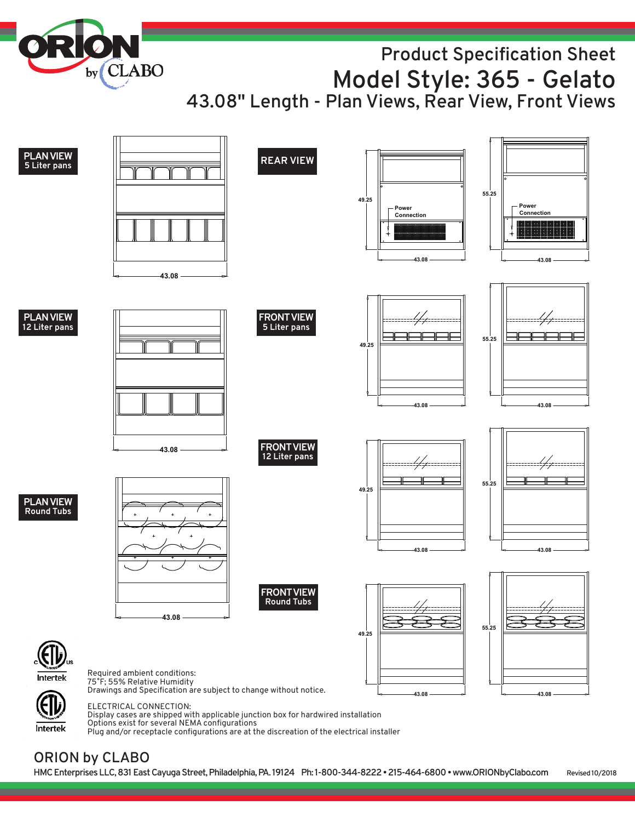**Product Specification Sheet Model Style: 365 - Gelato 43.08" Length - Plan Views, Rear View, Front Views**

**PLANVIEW REAR VIEW <sup>5</sup> Liter pans 55.25 49.25 Power Power Connection Connection 43.08 43.08 43.08 PLANVIEW FRONTVIEW 12 Liter pans 5 Liter pans 55.25 49.25 43.08 43.08 FRONTVIEW 43.08 12 Liter pans 55.25 49.25 PLANVIEW Round Tubs 43.08 43.08 FRONTVIEW Round Tubs 43.08 55.25 49.25** Required ambient conditions: Intertek 75˚F; 55% Relative Humidity Drawings and Specification are subject to change without notice. **43.08 43.08** ELECTRICAL CONNECTION:

Display cases are shipped with applicable junction box for hardwired installation Options exist for several NEMA configurations Plug and/or receptacle configurations are at the discreation of the electrical installer

### **ORION by CLABO**

Intertek

**by**

**CLABO**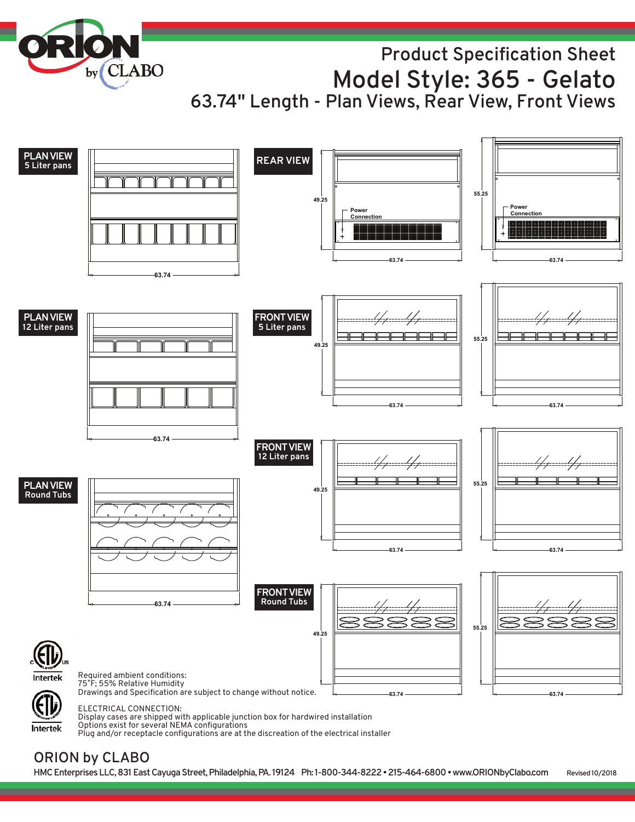**CLABO by**

## **Product Specification Sheet Model Style: 365 - Gelato 63.74" Length - Plan Views, Rear View, Front Views**



Display cases are shipped with applicable junction box for hardwired installation

Options exist for several NEMA configurations Plug and/or receptacle configurations are at the discreation of the electrical installer

### **ORION by CLABO**

Intertek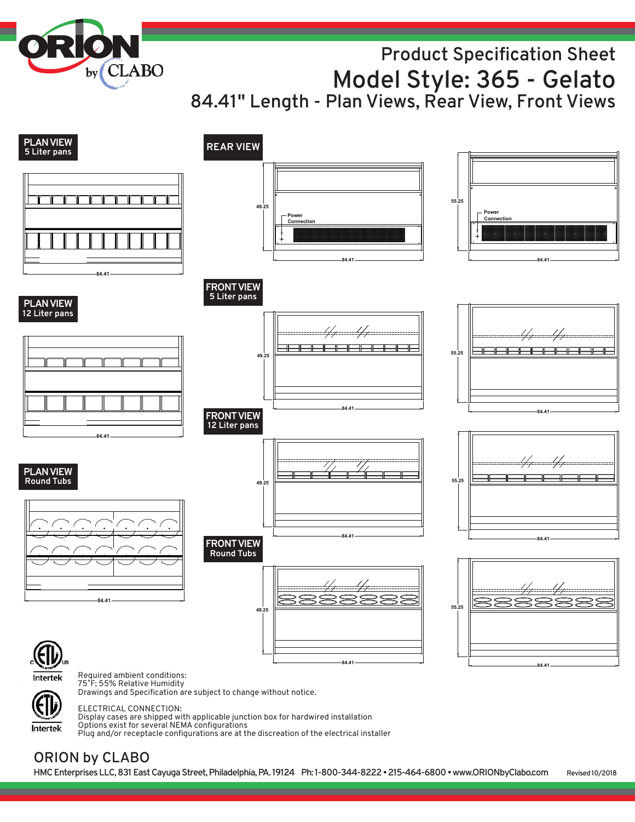**Product Specification Sheet Model Style: 365 - Gelato 84.41" Length - Plan Views, Rear View, Front Views**

**84.41** Powe **Connection 84.41 55.25 FRONT VIEW 5 Liter pans FRONTVIEW 12 Liter pans FRONTVIEW Round Tubs PLANVIEW REAR VIEW <sup>5</sup> Liter pans PLANVIEW 12 Liter pans PLANVIEW Round Tubs 84.41 84.41 Power Connection 84.41 49.25 55.25 84.41 55.25 84.41 55.25 84.41 49.25 84.41 49.25 84.41 49.25 84.41**

Required ambient conditions: Intertek 75˚F; 55% Relative Humidity

**by**

**CLABO** 

Drawings and Specification are subject to change without notice.

Intertek

ELECTRICAL CONNECTION:

Display cases are shipped with applicable junction box for hardwired installation Options exist for several NEMA configurations

#### Plug and/or receptacle configurations are at the discreation of the electrical installer

## **ORION by CLABO**